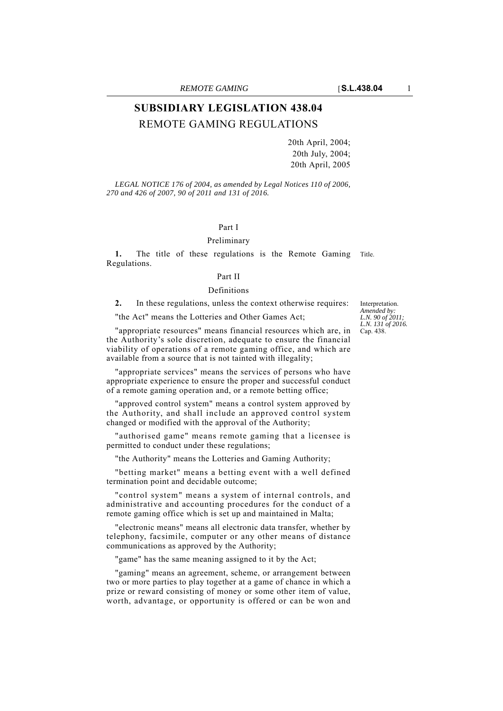# **SUBSIDIARY LEGISLATION 438.04** REMOTE GAMING REGULATIONS

20th April, 2004; 20th July, 2004; 20th April, 2005

*LEGAL NOTICE 176 of 2004, as amended by Legal Notices 110 of 2006, 270 and 426 of 2007, 90 of 2011 and 131 of 2016.*

### Part I

#### Preliminary

**1.** The title of these regulations is the Remote Gaming Title. Regulations.

### Part II

#### Definitions

**2.** In these regulations, unless the context otherwise requires:

"the Act" means the Lotteries and Other Games Act;

Interpretation. *Amended by: L.N. 90 of 2011; L.N. 131 of 2016.* Cap. 438.

"appropriate resources" means financial resources which are, in the Authority's sole discretion, adequate to ensure the financial viability of operations of a remote gaming office, and which are available from a source that is not tainted with illegality;

"appropriate services" means the services of persons who have appropriate experience to ensure the proper and successful conduct of a remote gaming operation and, or a remote betting office;

"approved control system" means a control system approved by the Authority, and shall include an approved control system changed or modified with the approval of the Authority;

"authorised game" means remote gaming that a licensee is permitted to conduct under these regulations;

"the Authority" means the Lotteries and Gaming Authority;

"betting market" means a betting event with a well defined termination point and decidable outcome;

"control system" means a system of internal controls, and administrative and accounting procedures for the conduct of a remote gaming office which is set up and maintained in Malta;

"electronic means" means all electronic data transfer, whether by telephony, facsimile, computer or any other means of distance communications as approved by the Authority;

"game" has the same meaning assigned to it by the Act;

"gaming" means an agreement, scheme, or arrangement between two or more parties to play together at a game of chance in which a prize or reward consisting of money or some other item of value, worth, advantage, or opportunity is offered or can be won and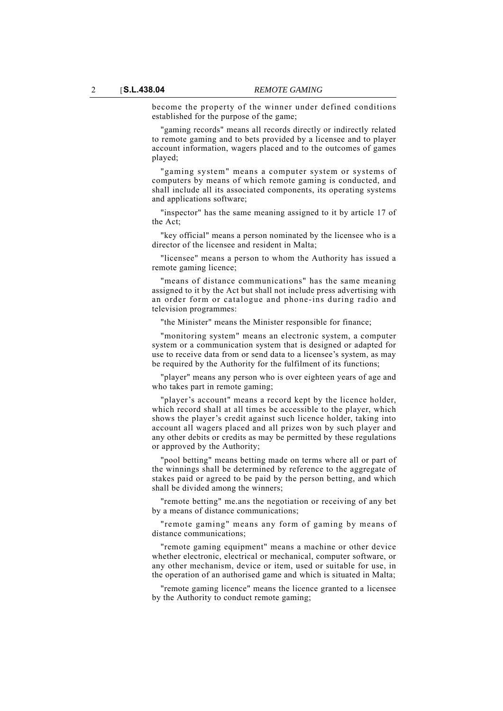become the property of the winner under defined conditions established for the purpose of the game;

"gaming records" means all records directly or indirectly related to remote gaming and to bets provided by a licensee and to player account information, wagers placed and to the outcomes of games played;

"gaming system" means a computer system or systems of computers by means of which remote gaming is conducted, and shall include all its associated components, its operating systems and applications software;

"inspector" has the same meaning assigned to it by article 17 of the Act;

"key official" means a person nominated by the licensee who is a director of the licensee and resident in Malta;

"licensee" means a person to whom the Authority has issued a remote gaming licence;

"means of distance communications" has the same meaning assigned to it by the Act but shall not include press advertising with an order form or catalogue and phone-ins during radio and television programmes:

"the Minister" means the Minister responsible for finance;

"monitoring system" means an electronic system, a computer system or a communication system that is designed or adapted for use to receive data from or send data to a licensee's system, as may be required by the Authority for the fulfilment of its functions;

"player" means any person who is over eighteen years of age and who takes part in remote gaming;

"player's account" means a record kept by the licence holder, which record shall at all times be accessible to the player, which shows the player's credit against such licence holder, taking into account all wagers placed and all prizes won by such player and any other debits or credits as may be permitted by these regulations or approved by the Authority;

"pool betting" means betting made on terms where all or part of the winnings shall be determined by reference to the aggregate of stakes paid or agreed to be paid by the person betting, and which shall be divided among the winners;

"remote betting" me.ans the negotiation or receiving of any bet by a means of distance communications;

"remote gaming" means any form of gaming by means of distance communications;

"remote gaming equipment" means a machine or other device whether electronic, electrical or mechanical, computer software, or any other mechanism, device or item, used or suitable for use, in the operation of an authorised game and which is situated in Malta;

"remote gaming licence" means the licence granted to a licensee by the Authority to conduct remote gaming;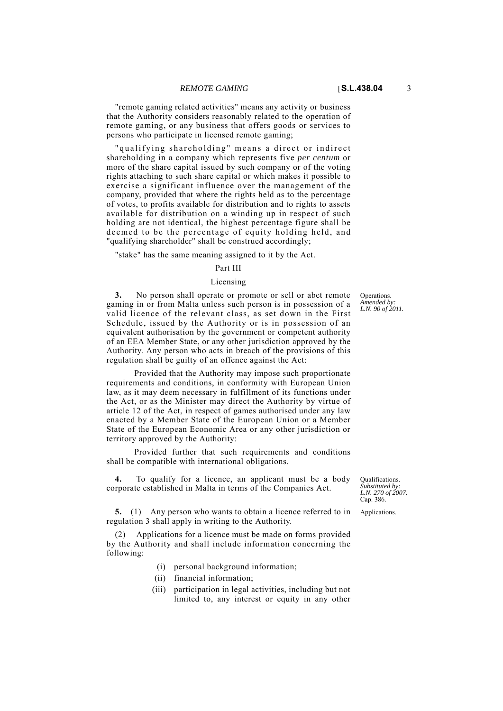"remote gaming related activities" means any activity or business that the Authority considers reasonably related to the operation of remote gaming, or any business that offers goods or services to

persons who participate in licensed remote gaming; "qualifying shareholding" means a direct or indirect shareholding in a company which represents five *per centum* or more of the share capital issued by such company or of the voting rights attaching to such share capital or which makes it possible to exercise a significant influence over the management of the company, provided that where the rights held as to the percentage of votes, to profits available for distribution and to rights to assets available for distribution on a winding up in respect of such holding are not identical, the highest percentage figure shall be deemed to be the percentage of equity holding held, and "qualifying shareholder" shall be construed accordingly;

"stake" has the same meaning assigned to it by the Act.

### Part III

### Licensing

**3.** No person shall operate or promote or sell or abet remote gaming in or from Malta unless such person is in possession of a valid licence of the relevant class, as set down in the First Schedule, issued by the Authority or is in possession of an equivalent authorisation by the government or competent authority of an EEA Member State, or any other jurisdiction approved by the Authority. Any person who acts in breach of the provisions of this regulation shall be guilty of an offence against the Act:

Provided that the Authority may impose such proportionate requirements and conditions, in conformity with European Union law, as it may deem necessary in fulfillment of its functions under the Act, or as the Minister may direct the Authority by virtue of article 12 of the Act, in respect of games authorised under any law enacted by a Member State of the European Union or a Member State of the European Economic Area or any other jurisdiction or territory approved by the Authority:

Provided further that such requirements and conditions shall be compatible with international obligations.

**4.** To qualify for a licence, an applicant must be a body corporate established in Malta in terms of the Companies Act.

**5.** (1) Any person who wants to obtain a licence referred to in Applications. regulation 3 shall apply in writing to the Authority.

Applications for a licence must be made on forms provided by the Authority and shall include information concerning the following:

- (i) personal background information;
- (ii) financial information;
- (iii) participation in legal activities, including but not limited to, any interest or equity in any other

**Operations** *Amended by: L.N. 90 of 2011.*

Qualifications. *Substituted by: L.N. 270 of 2007.* Cap. 386.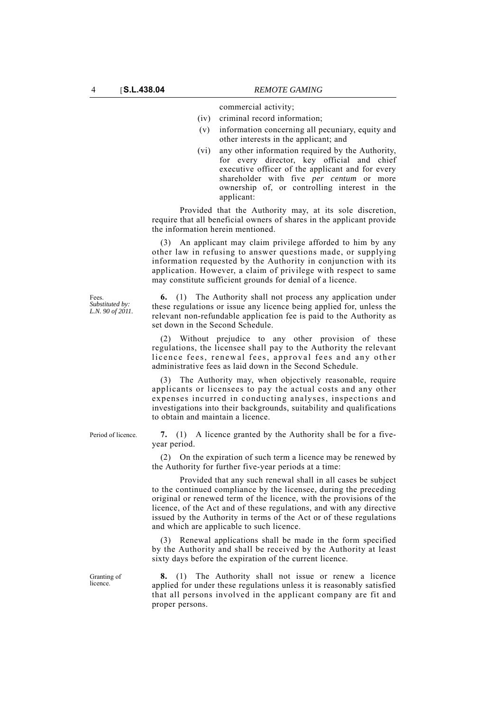commercial activity;

- (iv) criminal record information;
- (v) information concerning all pecuniary, equity and other interests in the applicant; and
- (vi) any other information required by the Authority, for every director, key official and chief executive officer of the applicant and for every shareholder with five *per centum* or more ownership of, or controlling interest in the applicant:

Provided that the Authority may, at its sole discretion, require that all beneficial owners of shares in the applicant provide the information herein mentioned.

An applicant may claim privilege afforded to him by any other law in refusing to answer questions made, or supplying information requested by the Authority in conjunction with its application. However, a claim of privilege with respect to same may constitute sufficient grounds for denial of a licence.

**6.** (1) The Authority shall not process any application under these regulations or issue any licence being applied for, unless the relevant non-refundable application fee is paid to the Authority as set down in the Second Schedule.

Without prejudice to any other provision of these regulations, the licensee shall pay to the Authority the relevant licence fees, renewal fees, approval fees and any other administrative fees as laid down in the Second Schedule.

(3) The Authority may, when objectively reasonable, require applicants or licensees to pay the actual costs and any other expenses incurred in conducting analyses, inspections and investigations into their backgrounds, suitability and qualifications to obtain and maintain a licence.

Period of licence. **7.** (1) A licence granted by the Authority shall be for a fiveyear period.

> (2) On the expiration of such term a licence may be renewed by the Authority for further five-year periods at a time:

> Provided that any such renewal shall in all cases be subject to the continued compliance by the licensee, during the preceding original or renewed term of the licence, with the provisions of the licence, of the Act and of these regulations, and with any directive issued by the Authority in terms of the Act or of these regulations and which are applicable to such licence.

> (3) Renewal applications shall be made in the form specified by the Authority and shall be received by the Authority at least sixty days before the expiration of the current licence.

> **8.** (1) The Authority shall not issue or renew a licence applied for under these regulations unless it is reasonably satisfied that all persons involved in the applicant company are fit and proper persons.

Fees. *Substituted by: L.N. 90 of 2011.*

Granting of licence.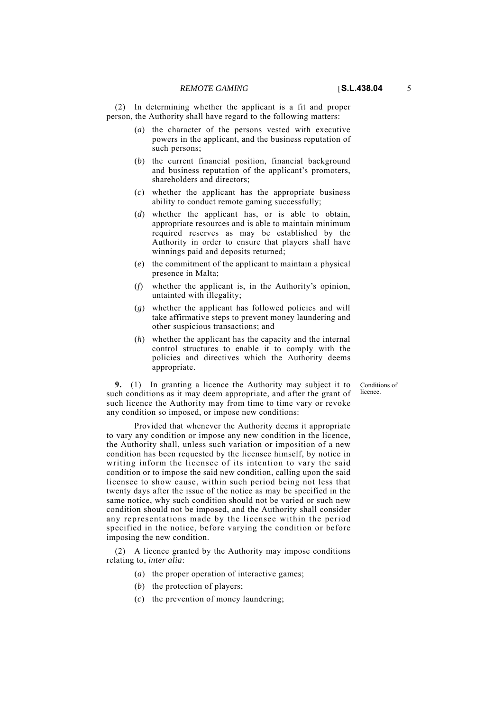Conditions of licence

(2) In determining whether the applicant is a fit and proper person, the Authority shall have regard to the following matters:

- (*a*) the character of the persons vested with executive powers in the applicant, and the business reputation of such persons;
- (*b*) the current financial position, financial background and business reputation of the applicant's promoters, shareholders and directors;
- (*c*) whether the applicant has the appropriate business ability to conduct remote gaming successfully;
- (*d*) whether the applicant has, or is able to obtain, appropriate resources and is able to maintain minimum required reserves as may be established by the Authority in order to ensure that players shall have winnings paid and deposits returned;
- (*e*) the commitment of the applicant to maintain a physical presence in Malta;
- (*f*) whether the applicant is, in the Authority's opinion, untainted with illegality;
- (*g*) whether the applicant has followed policies and will take affirmative steps to prevent money laundering and other suspicious transactions; and
- (*h*) whether the applicant has the capacity and the internal control structures to enable it to comply with the policies and directives which the Authority deems appropriate.

**9.** (1) In granting a licence the Authority may subject it to such conditions as it may deem appropriate, and after the grant of such licence the Authority may from time to time vary or revoke any condition so imposed, or impose new conditions:

Provided that whenever the Authority deems it appropriate to vary any condition or impose any new condition in the licence, the Authority shall, unless such variation or imposition of a new condition has been requested by the licensee himself, by notice in writing inform the licensee of its intention to vary the said condition or to impose the said new condition, calling upon the said licensee to show cause, within such period being not less that twenty days after the issue of the notice as may be specified in the same notice, why such condition should not be varied or such new condition should not be imposed, and the Authority shall consider any representations made by the licensee within the period specified in the notice, before varying the condition or before imposing the new condition.

(2) A licence granted by the Authority may impose conditions relating to, *inter alia*:

- (*a*) the proper operation of interactive games;
- (*b*) the protection of players;
- (*c*) the prevention of money laundering;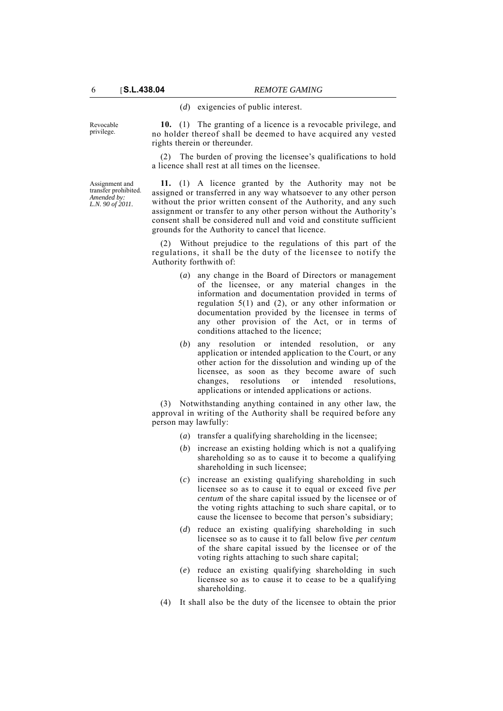(*d*) exigencies of public interest.

Revocable privilege.

**10.** (1) The granting of a licence is a revocable privilege, and no holder thereof shall be deemed to have acquired any vested rights therein or thereunder.

(2) The burden of proving the licensee's qualifications to hold a licence shall rest at all times on the licensee.

Assignment and transfer prohibited. *Amended by: L.N. 90 of 2011.*

**11.** (1) A licence granted by the Authority may not be assigned or transferred in any way whatsoever to any other person without the prior written consent of the Authority, and any such assignment or transfer to any other person without the Authority's consent shall be considered null and void and constitute sufficient grounds for the Authority to cancel that licence.

(2) Without prejudice to the regulations of this part of the regulations, it shall be the duty of the licensee to notify the Authority forthwith of:

- (*a*) any change in the Board of Directors or management of the licensee, or any material changes in the information and documentation provided in terms of regulation 5(1) and (2), or any other information or documentation provided by the licensee in terms of any other provision of the Act, or in terms of conditions attached to the licence;
- (*b*) any resolution or intended resolution, or any application or intended application to the Court, or any other action for the dissolution and winding up of the licensee, as soon as they become aware of such changes, resolutions or intended resolutions, applications or intended applications or actions.

(3) Notwithstanding anything contained in any other law, the approval in writing of the Authority shall be required before any person may lawfully:

- (*a*) transfer a qualifying shareholding in the licensee;
- (*b*) increase an existing holding which is not a qualifying shareholding so as to cause it to become a qualifying shareholding in such licensee;
- (*c*) increase an existing qualifying shareholding in such licensee so as to cause it to equal or exceed five *per centum* of the share capital issued by the licensee or of the voting rights attaching to such share capital, or to cause the licensee to become that person's subsidiary;
- (*d*) reduce an existing qualifying shareholding in such licensee so as to cause it to fall below five *per centum* of the share capital issued by the licensee or of the voting rights attaching to such share capital;
- (*e*) reduce an existing qualifying shareholding in such licensee so as to cause it to cease to be a qualifying shareholding.
- (4) It shall also be the duty of the licensee to obtain the prior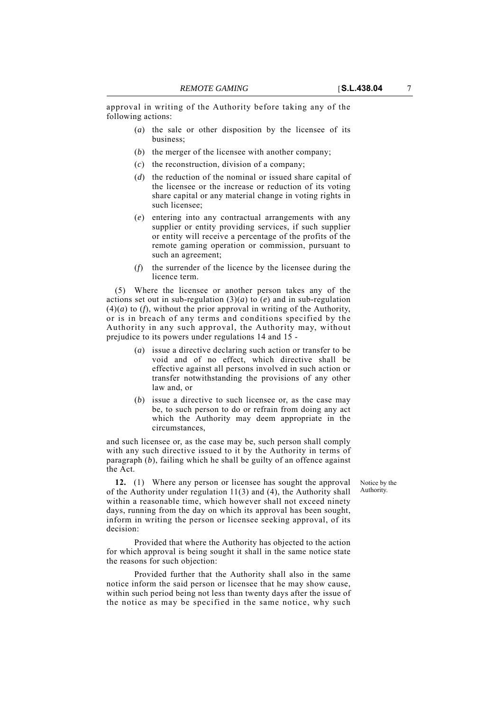approval in writing of the Authority before taking any of the following actions:

- (*a*) the sale or other disposition by the licensee of its business;
- (*b*) the merger of the licensee with another company;
- (*c*) the reconstruction, division of a company;
- (*d*) the reduction of the nominal or issued share capital of the licensee or the increase or reduction of its voting share capital or any material change in voting rights in such licensee;
- (*e*) entering into any contractual arrangements with any supplier or entity providing services, if such supplier or entity will receive a percentage of the profits of the remote gaming operation or commission, pursuant to such an agreement;
- (*f*) the surrender of the licence by the licensee during the licence term.

(5) Where the licensee or another person takes any of the actions set out in sub-regulation  $(3)(a)$  to  $(e)$  and in sub-regulation (4)(*a*) to (*f*), without the prior approval in writing of the Authority, or is in breach of any terms and conditions specified by the Authority in any such approval, the Authority may, without prejudice to its powers under regulations 14 and 15 -

- (*a*) issue a directive declaring such action or transfer to be void and of no effect, which directive shall be effective against all persons involved in such action or transfer notwithstanding the provisions of any other law and, or
- (*b*) issue a directive to such licensee or, as the case may be, to such person to do or refrain from doing any act which the Authority may deem appropriate in the circumstances,

and such licensee or, as the case may be, such person shall comply with any such directive issued to it by the Authority in terms of paragraph (*b*), failing which he shall be guilty of an offence against the Act.

> Notice by the Authority.

**12.** (1) Where any person or licensee has sought the approval of the Authority under regulation 11(3) and (4), the Authority shall within a reasonable time, which however shall not exceed ninety days, running from the day on which its approval has been sought, inform in writing the person or licensee seeking approval, of its decision:

Provided that where the Authority has objected to the action for which approval is being sought it shall in the same notice state the reasons for such objection:

Provided further that the Authority shall also in the same notice inform the said person or licensee that he may show cause, within such period being not less than twenty days after the issue of the notice as may be specified in the same notice, why such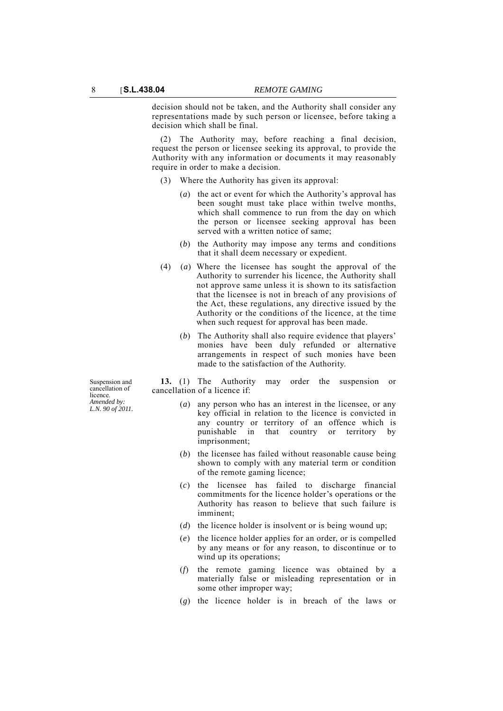decision should not be taken, and the Authority shall consider any representations made by such person or licensee, before taking a decision which shall be final.

(2) The Authority may, before reaching a final decision, request the person or licensee seeking its approval, to provide the Authority with any information or documents it may reasonably require in order to make a decision.

- (3) Where the Authority has given its approval:
	- (*a*) the act or event for which the Authority's approval has been sought must take place within twelve months, which shall commence to run from the day on which the person or licensee seeking approval has been served with a written notice of same;
	- (*b*) the Authority may impose any terms and conditions that it shall deem necessary or expedient.
- (4) (*a*) Where the licensee has sought the approval of the Authority to surrender his licence, the Authority shall not approve same unless it is shown to its satisfaction that the licensee is not in breach of any provisions of the Act, these regulations, any directive issued by the Authority or the conditions of the licence, at the time when such request for approval has been made.
	- (*b*) The Authority shall also require evidence that players' monies have been duly refunded or alternative arrangements in respect of such monies have been made to the satisfaction of the Authority.

**13.** (1) The Authority may order the suspension or cancellation of a licence if:

- (*a*) any person who has an interest in the licensee, or any key official in relation to the licence is convicted in any country or territory of an offence which is punishable in that country or territory by imprisonment;
- (*b*) the licensee has failed without reasonable cause being shown to comply with any material term or condition of the remote gaming licence;
- (*c*) the licensee has failed to discharge financial commitments for the licence holder's operations or the Authority has reason to believe that such failure is imminent;
- (*d*) the licence holder is insolvent or is being wound up;
- (*e*) the licence holder applies for an order, or is compelled by any means or for any reason, to discontinue or to wind up its operations;
- (*f*) the remote gaming licence was obtained by a materially false or misleading representation or in some other improper way;
- (*g*) the licence holder is in breach of the laws or

Suspension and cancellation of licence. *Amended by: L.N. 90 of 2011.*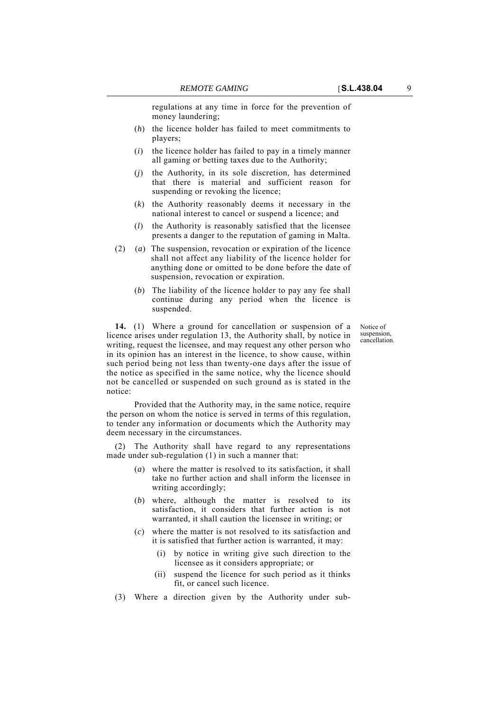regulations at any time in force for the prevention of money laundering;

- (*h*) the licence holder has failed to meet commitments to players;
- (*i*) the licence holder has failed to pay in a timely manner all gaming or betting taxes due to the Authority;
- (*j*) the Authority, in its sole discretion, has determined that there is material and sufficient reason for suspending or revoking the licence;
- (*k*) the Authority reasonably deems it necessary in the national interest to cancel or suspend a licence; and
- (*l*) the Authority is reasonably satisfied that the licensee presents a danger to the reputation of gaming in Malta.
- (2) (*a*) The suspension, revocation or expiration of the licence shall not affect any liability of the licence holder for anything done or omitted to be done before the date of suspension, revocation or expiration.
	- (*b*) The liability of the licence holder to pay any fee shall continue during any period when the licence is suspended.

**14.** (1) Where a ground for cancellation or suspension of a licence arises under regulation 13, the Authority shall, by notice in writing, request the licensee, and may request any other person who in its opinion has an interest in the licence, to show cause, within such period being not less than twenty-one days after the issue of the notice as specified in the same notice, why the licence should not be cancelled or suspended on such ground as is stated in the notice:

Provided that the Authority may, in the same notice, require the person on whom the notice is served in terms of this regulation, to tender any information or documents which the Authority may deem necessary in the circumstances.

(2) The Authority shall have regard to any representations made under sub-regulation (1) in such a manner that:

- (*a*) where the matter is resolved to its satisfaction, it shall take no further action and shall inform the licensee in writing accordingly;
- (*b*) where, although the matter is resolved to its satisfaction, it considers that further action is not warranted, it shall caution the licensee in writing; or
- (*c*) where the matter is not resolved to its satisfaction and it is satisfied that further action is warranted, it may:
	- (i) by notice in writing give such direction to the licensee as it considers appropriate; or
	- (ii) suspend the licence for such period as it thinks fit, or cancel such licence.
- (3) Where a direction given by the Authority under sub-

Notice of suspension, cancellation.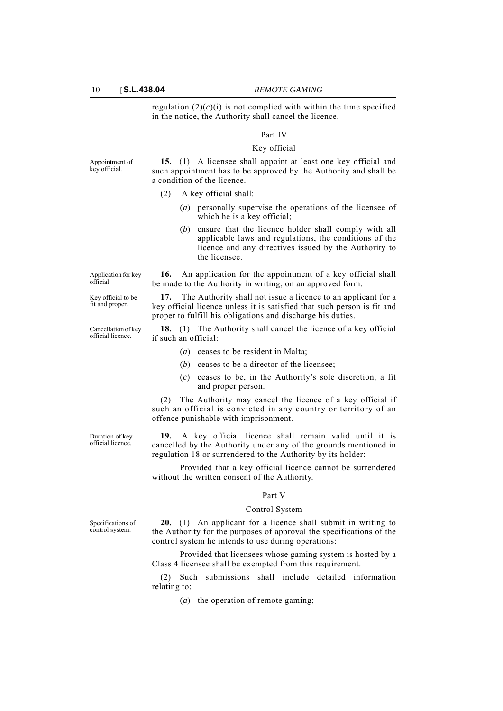regulation  $(2)(c)(i)$  is not complied with within the time specified in the notice, the Authority shall cancel the licence.

### Part IV

#### Key official

Appointment of key official.

Application for key official.

Key official to be fit and proper.

Cancellation of key official licence.

**15.** (1) A licensee shall appoint at least one key official and such appointment has to be approved by the Authority and shall be a condition of the licence.

#### (2) A key official shall:

- (*a*) personally supervise the operations of the licensee of which he is a key official;
- (*b*) ensure that the licence holder shall comply with all applicable laws and regulations, the conditions of the licence and any directives issued by the Authority to the licensee.

**16.** An application for the appointment of a key official shall be made to the Authority in writing, on an approved form.

**17.** The Authority shall not issue a licence to an applicant for a key official licence unless it is satisfied that such person is fit and proper to fulfill his obligations and discharge his duties.

**18.** (1) The Authority shall cancel the licence of a key official if such an official:

- (*a*) ceases to be resident in Malta;
- (*b*) ceases to be a director of the licensee;
- (*c*) ceases to be, in the Authority's sole discretion, a fit and proper person.

(2) The Authority may cancel the licence of a key official if such an official is convicted in any country or territory of an offence punishable with imprisonment.

Duration of key official licence.

**19.** A key official licence shall remain valid until it is cancelled by the Authority under any of the grounds mentioned in regulation 18 or surrendered to the Authority by its holder:

Provided that a key official licence cannot be surrendered without the written consent of the Authority.

### Part V

#### Control System

Specifications of control system.

**20.** (1) An applicant for a licence shall submit in writing to the Authority for the purposes of approval the specifications of the control system he intends to use during operations:

Provided that licensees whose gaming system is hosted by a Class 4 licensee shall be exempted from this requirement.

(2) Such submissions shall include detailed information relating to:

(*a*) the operation of remote gaming;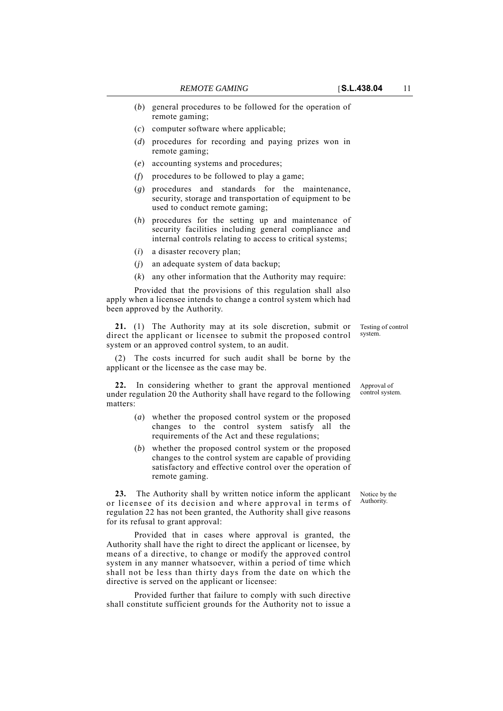- (*b*) general procedures to be followed for the operation of remote gaming;
- (*c*) computer software where applicable;
- (*d*) procedures for recording and paying prizes won in remote gaming;
- (*e*) accounting systems and procedures;
- (*f*) procedures to be followed to play a game;
- (*g*) procedures and standards for the maintenance, security, storage and transportation of equipment to be used to conduct remote gaming;
- (*h*) procedures for the setting up and maintenance of security facilities including general compliance and internal controls relating to access to critical systems;
- (*i*) a disaster recovery plan;
- (*j*) an adequate system of data backup;
- (*k*) any other information that the Authority may require:

Provided that the provisions of this regulation shall also apply when a licensee intends to change a control system which had been approved by the Authority.

**21.** (1) The Authority may at its sole discretion, submit or direct the applicant or licensee to submit the proposed control system or an approved control system, to an audit.

(2) The costs incurred for such audit shall be borne by the applicant or the licensee as the case may be.

**22.** In considering whether to grant the approval mentioned under regulation 20 the Authority shall have regard to the following matters:

- (*a*) whether the proposed control system or the proposed changes to the control system satisfy all the requirements of the Act and these regulations;
- (*b*) whether the proposed control system or the proposed changes to the control system are capable of providing satisfactory and effective control over the operation of remote gaming.

**23.** The Authority shall by written notice inform the applicant or licensee of its decision and where approval in terms of regulation 22 has not been granted, the Authority shall give reasons for its refusal to grant approval:

Provided that in cases where approval is granted, the Authority shall have the right to direct the applicant or licensee, by means of a directive, to change or modify the approved control system in any manner whatsoever, within a period of time which shall not be less than thirty days from the date on which the directive is served on the applicant or licensee:

Provided further that failure to comply with such directive shall constitute sufficient grounds for the Authority not to issue a

Testing of control system.

Approval of control system.

Notice by the Authority.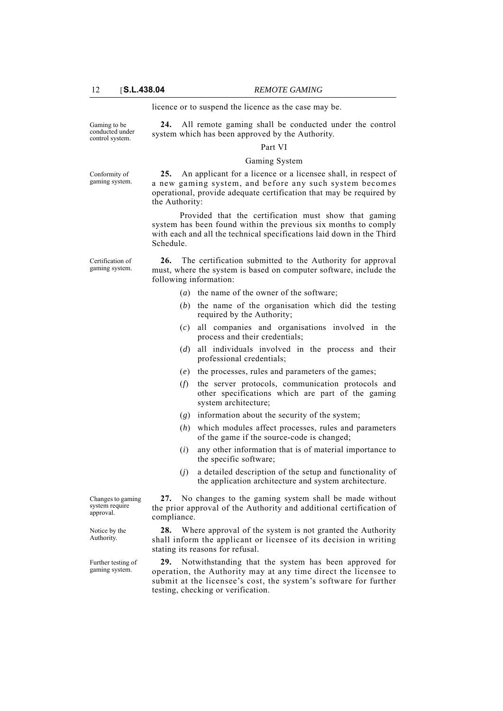licence or to suspend the licence as the case may be.

Gaming to be conducted under control system.

**24.** All remote gaming shall be conducted under the control system which has been approved by the Authority.

#### Part VI

### Gaming System

Conformity of gaming system.

**25.** An applicant for a licence or a licensee shall, in respect of a new gaming system, and before any such system becomes operational, provide adequate certification that may be required by the Authority:

Provided that the certification must show that gaming system has been found within the previous six months to comply with each and all the technical specifications laid down in the Third Schedule.

Certification of gaming system.

**26.** The certification submitted to the Authority for approval must, where the system is based on computer software, include the following information:

- (*a*) the name of the owner of the software;
- (*b*) the name of the organisation which did the testing required by the Authority;
- (*c*) all companies and organisations involved in the process and their credentials;
- (*d*) all individuals involved in the process and their professional credentials;
- (*e*) the processes, rules and parameters of the games;
- (*f*) the server protocols, communication protocols and other specifications which are part of the gaming system architecture;
- (*g*) information about the security of the system;
- (*h*) which modules affect processes, rules and parameters of the game if the source-code is changed;
- (*i*) any other information that is of material importance to the specific software;
- (*j*) a detailed description of the setup and functionality of the application architecture and system architecture.

**27.** No changes to the gaming system shall be made without the prior approval of the Authority and additional certification of compliance.

**28.** Where approval of the system is not granted the Authority shall inform the applicant or licensee of its decision in writing stating its reasons for refusal.

**29.** Notwithstanding that the system has been approved for operation, the Authority may at any time direct the licensee to submit at the licensee's cost, the system's software for further testing, checking or verification.

Changes to gaming system require approval.

Notice by the Authority.

Further testing of gaming system.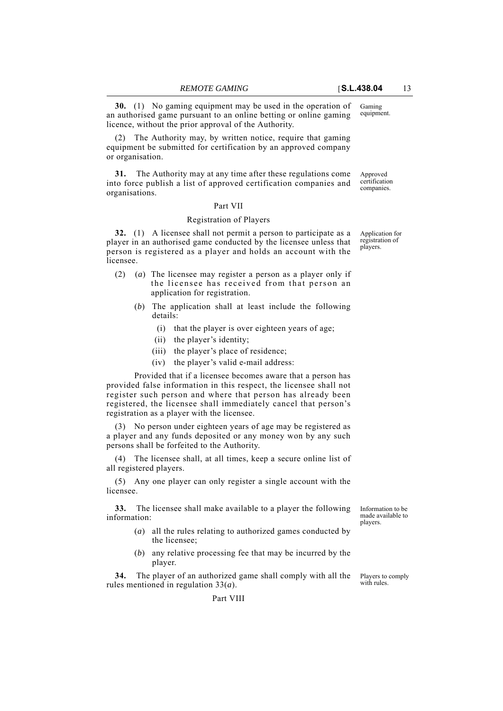equipment. **30.** (1) No gaming equipment may be used in the operation of an authorised game pursuant to an online betting or online gaming licence, without the prior approval of the Authority.

(2) The Authority may, by written notice, require that gaming equipment be submitted for certification by an approved company or organisation.

Approved certification companies. **31.** The Authority may at any time after these regulations come into force publish a list of approved certification companies and organisations.

#### Part VII

### Registration of Players

**32.** (1) A licensee shall not permit a person to participate as a player in an authorised game conducted by the licensee unless that person is registered as a player and holds an account with the licensee.

- (2) (*a*) The licensee may register a person as a player only if the licensee has received from that person an application for registration.
	- (*b*) The application shall at least include the following details:
		- (i) that the player is over eighteen years of age;
		- (ii) the player's identity;
		- (iii) the player's place of residence;
		- (iv) the player's valid e-mail address:

Provided that if a licensee becomes aware that a person has provided false information in this respect, the licensee shall not register such person and where that person has already been registered, the licensee shall immediately cancel that person's registration as a player with the licensee.

(3) No person under eighteen years of age may be registered as a player and any funds deposited or any money won by any such persons shall be forfeited to the Authority.

(4) The licensee shall, at all times, keep a secure online list of all registered players.

(5) Any one player can only register a single account with the licensee.

**33.** The licensee shall make available to a player the following information:

- (*a*) all the rules relating to authorized games conducted by the licensee;
- (*b*) any relative processing fee that may be incurred by the player.

**34.** The player of an authorized game shall comply with all the rules mentioned in regulation 33(*a*).

Players to comply with rules.

Information to be made available to players.

Application for registration of players.

Gaming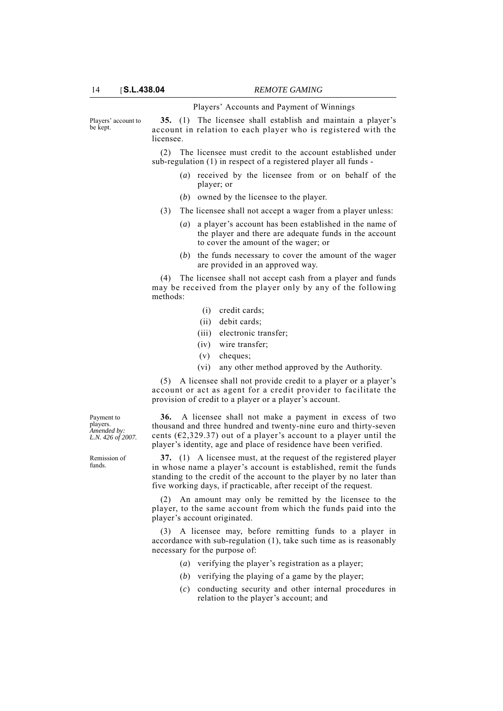#### Players' Accounts and Payment of Winnings

Players' account to be kept.

**35.** (1) The licensee shall establish and maintain a player's account in relation to each player who is registered with the licensee.

(2) The licensee must credit to the account established under sub-regulation (1) in respect of a registered player all funds -

- (*a*) received by the licensee from or on behalf of the player; or
- (*b*) owned by the licensee to the player.
- (3) The licensee shall not accept a wager from a player unless:
	- (*a*) a player's account has been established in the name of the player and there are adequate funds in the account to cover the amount of the wager; or
	- (*b*) the funds necessary to cover the amount of the wager are provided in an approved way.

(4) The licensee shall not accept cash from a player and funds may be received from the player only by any of the following methods:

- (i) credit cards;
- (ii) debit cards;
- (iii) electronic transfer;
- (iv) wire transfer;
- (v) cheques;
- (vi) any other method approved by the Authority.

(5) A licensee shall not provide credit to a player or a player's account or act as agent for a credit provider to facilitate the provision of credit to a player or a player's account.

**36.** A licensee shall not make a payment in excess of two thousand and three hundred and twenty-nine euro and thirty-seven cents ( $\epsilon$ 2,329.37) out of a player's account to a player until the player's identity, age and place of residence have been verified.

**37.** (1) A licensee must, at the request of the registered player in whose name a player's account is established, remit the funds standing to the credit of the account to the player by no later than five working days, if practicable, after receipt of the request.

(2) An amount may only be remitted by the licensee to the player, to the same account from which the funds paid into the player's account originated.

(3) A licensee may, before remitting funds to a player in accordance with sub-regulation (1), take such time as is reasonably necessary for the purpose of:

- (*a*) verifying the player's registration as a player;
- (*b*) verifying the playing of a game by the player;
- (*c*) conducting security and other internal procedures in relation to the player's account; and

Payment to players. *Amended by: L.N. 426 of 2007.*

Remission of funds.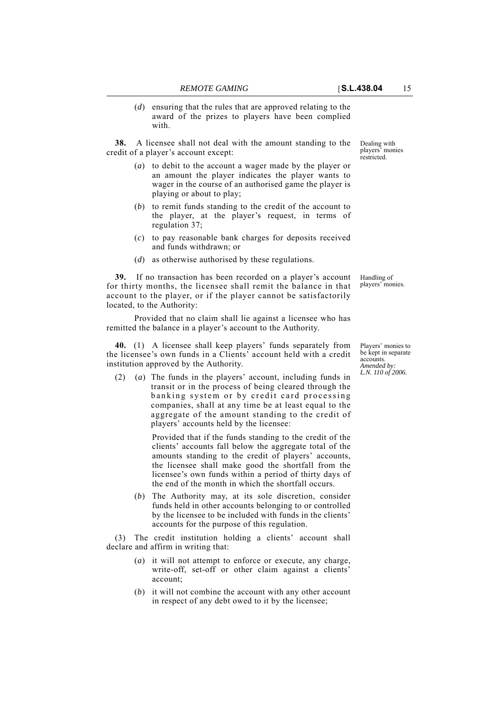(*d*) ensuring that the rules that are approved relating to the award of the prizes to players have been complied with.

**38.** A licensee shall not deal with the amount standing to the credit of a player's account except:

- (*a*) to debit to the account a wager made by the player or an amount the player indicates the player wants to wager in the course of an authorised game the player is playing or about to play;
- (*b*) to remit funds standing to the credit of the account to the player, at the player's request, in terms of regulation 37;
- (*c*) to pay reasonable bank charges for deposits received and funds withdrawn; or
- (*d*) as otherwise authorised by these regulations.

**39.** If no transaction has been recorded on a player's account for thirty months, the licensee shall remit the balance in that account to the player, or if the player cannot be satisfactorily located, to the Authority:

Provided that no claim shall lie against a licensee who has remitted the balance in a player's account to the Authority.

**40.** (1) A licensee shall keep players' funds separately from the licensee's own funds in a Clients' account held with a credit institution approved by the Authority.

(2) (*a*) The funds in the players' account, including funds in transit or in the process of being cleared through the banking system or by credit card processing companies, shall at any time be at least equal to the aggregate of the amount standing to the credit of players' accounts held by the licensee:

> Provided that if the funds standing to the credit of the clients' accounts fall below the aggregate total of the amounts standing to the credit of players' accounts, the licensee shall make good the shortfall from the licensee's own funds within a period of thirty days of the end of the month in which the shortfall occurs.

(*b*) The Authority may, at its sole discretion, consider funds held in other accounts belonging to or controlled by the licensee to be included with funds in the clients' accounts for the purpose of this regulation.

(3) The credit institution holding a clients' account shall declare and affirm in writing that:

- (*a*) it will not attempt to enforce or execute, any charge, write-off, set-off or other claim against a clients' account;
- (*b*) it will not combine the account with any other account in respect of any debt owed to it by the licensee;

Dealing with players' monies **restricted** 

Handling of players' monies.

Players' monies to be kept in separate accounts. *Amended by: L.N. 110 of 2006.*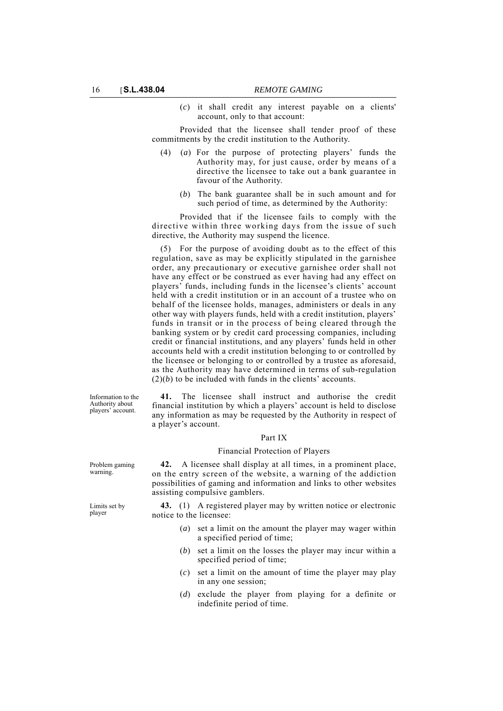(*c*) it shall credit any interest payable on a clients' account, only to that account:

Provided that the licensee shall tender proof of these commitments by the credit institution to the Authority.

- (4) (*a*) For the purpose of protecting players' funds the Authority may, for just cause, order by means of a directive the licensee to take out a bank guarantee in favour of the Authority.
	- (*b*) The bank guarantee shall be in such amount and for such period of time, as determined by the Authority:

Provided that if the licensee fails to comply with the directive within three working days from the issue of such directive, the Authority may suspend the licence.

(5) For the purpose of avoiding doubt as to the effect of this regulation, save as may be explicitly stipulated in the garnishee order, any precautionary or executive garnishee order shall not have any effect or be construed as ever having had any effect on players' funds, including funds in the licensee's clients' account held with a credit institution or in an account of a trustee who on behalf of the licensee holds, manages, administers or deals in any other way with players funds, held with a credit institution, players' funds in transit or in the process of being cleared through the banking system or by credit card processing companies, including credit or financial institutions, and any players' funds held in other accounts held with a credit institution belonging to or controlled by the licensee or belonging to or controlled by a trustee as aforesaid, as the Authority may have determined in terms of sub-regulation  $(2)(b)$  to be included with funds in the clients' accounts.

Information to the Authority about players' account.

**41.** The licensee shall instruct and authorise the credit financial institution by which a players' account is held to disclose any information as may be requested by the Authority in respect of a player's account.

### Part IX

#### Financial Protection of Players

**42.** A licensee shall display at all times, in a prominent place, on the entry screen of the website, a warning of the addiction possibilities of gaming and information and links to other websites assisting compulsive gamblers.

**43.** (1) A registered player may by written notice or electronic notice to the licensee:

- (*a*) set a limit on the amount the player may wager within a specified period of time;
- (*b*) set a limit on the losses the player may incur within a specified period of time;
- (*c*) set a limit on the amount of time the player may play in any one session;
- (*d*) exclude the player from playing for a definite or indefinite period of time.

Problem gaming warning.

Limits set by player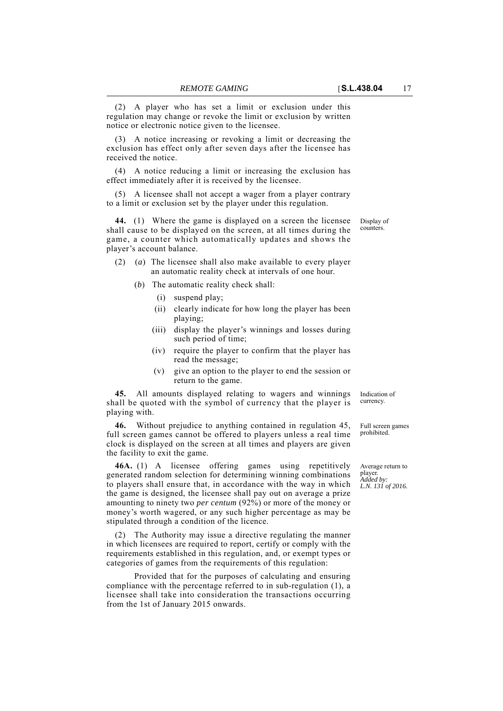(2) A player who has set a limit or exclusion under this regulation may change or revoke the limit or exclusion by written notice or electronic notice given to the licensee.

(3) A notice increasing or revoking a limit or decreasing the exclusion has effect only after seven days after the licensee has received the notice.

(4) A notice reducing a limit or increasing the exclusion has effect immediately after it is received by the licensee.

(5) A licensee shall not accept a wager from a player contrary to a limit or exclusion set by the player under this regulation.

**44.** (1) Where the game is displayed on a screen the licensee shall cause to be displayed on the screen, at all times during the game, a counter which automatically updates and shows the player's account balance.

- (2) (*a*) The licensee shall also make available to every player an automatic reality check at intervals of one hour.
	- (*b*) The automatic reality check shall:
		- (i) suspend play;
		- (ii) clearly indicate for how long the player has been playing;
		- (iii) display the player's winnings and losses during such period of time;
		- (iv) require the player to confirm that the player has read the message;
		- (v) give an option to the player to end the session or return to the game.

**45.** All amounts displayed relating to wagers and winnings shall be quoted with the symbol of currency that the player is playing with.

**46.** Without prejudice to anything contained in regulation 45, full screen games cannot be offered to players unless a real time clock is displayed on the screen at all times and players are given the facility to exit the game.

**46A.** (1) A licensee offering games using repetitively generated random selection for determining winning combinations to players shall ensure that, in accordance with the way in which the game is designed, the licensee shall pay out on average a prize amounting to ninety two *per centum* (92%) or more of the money or money's worth wagered, or any such higher percentage as may be stipulated through a condition of the licence.

(2) The Authority may issue a directive regulating the manner in which licensees are required to report, certify or comply with the requirements established in this regulation, and, or exempt types or categories of games from the requirements of this regulation:

Provided that for the purposes of calculating and ensuring compliance with the percentage referred to in sub-regulation (1), a licensee shall take into consideration the transactions occurring from the 1st of January 2015 onwards.

Indication of currency.

Full screen games prohibited.

Average return to player. *Added by: L.N. 131 of 2016.*

Display of counters.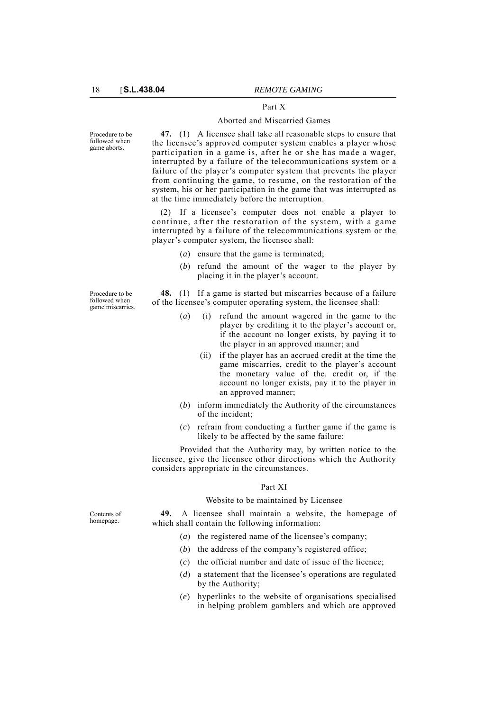### Part X

#### Aborted and Miscarried Games

Procedure to be followed when game aborts.

Procedure to be followed when game miscarries.

**47.** (1) A licensee shall take all reasonable steps to ensure that the licensee's approved computer system enables a player whose participation in a game is, after he or she has made a wager, interrupted by a failure of the telecommunications system or a failure of the player's computer system that prevents the player from continuing the game, to resume, on the restoration of the system, his or her participation in the game that was interrupted as at the time immediately before the interruption.

(2) If a licensee's computer does not enable a player to continue, after the restoration of the system, with a game interrupted by a failure of the telecommunications system or the player's computer system, the licensee shall:

- (*a*) ensure that the game is terminated;
- (*b*) refund the amount of the wager to the player by placing it in the player's account.

**48.** (1) If a game is started but miscarries because of a failure of the licensee's computer operating system, the licensee shall:

- (*a*) (i) refund the amount wagered in the game to the player by crediting it to the player's account or, if the account no longer exists, by paying it to the player in an approved manner; and
	- (ii) if the player has an accrued credit at the time the game miscarries, credit to the player's account the monetary value of the. credit or, if the account no longer exists, pay it to the player in an approved manner;
- (*b*) inform immediately the Authority of the circumstances of the incident;
- (*c*) refrain from conducting a further game if the game is likely to be affected by the same failure:

Provided that the Authority may, by written notice to the licensee, give the licensee other directions which the Authority considers appropriate in the circumstances.

#### Part XI

### Website to be maintained by Licensee

**49.** A licensee shall maintain a website, the homepage of which shall contain the following information:

- (*a*) the registered name of the licensee's company;
- (*b*) the address of the company's registered office;
- (*c*) the official number and date of issue of the licence;
- (*d*) a statement that the licensee's operations are regulated by the Authority;
- (*e*) hyperlinks to the website of organisations specialised in helping problem gamblers and which are approved

Contents of homepage.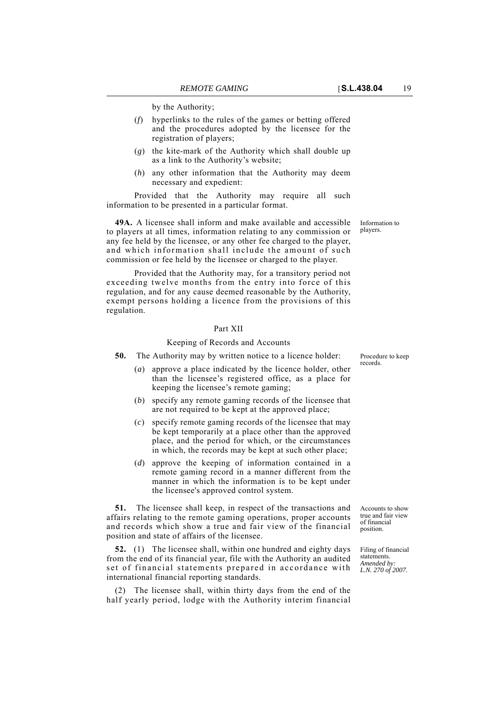by the Authority;

- (*f*) hyperlinks to the rules of the games or betting offered and the procedures adopted by the licensee for the registration of players;
- (*g*) the kite-mark of the Authority which shall double up as a link to the Authority's website;
- (*h*) any other information that the Authority may deem necessary and expedient:

Provided that the Authority may require all such information to be presented in a particular format.

**49A.** A licensee shall inform and make available and accessible to players at all times, information relating to any commission or any fee held by the licensee, or any other fee charged to the player, and which information shall include the amount of such commission or fee held by the licensee or charged to the player.

Provided that the Authority may, for a transitory period not exceeding twelve months from the entry into force of this regulation, and for any cause deemed reasonable by the Authority, exempt persons holding a licence from the provisions of this regulation.

### Part XII

#### Keeping of Records and Accounts

**50.** The Authority may by written notice to a licence holder:

- (*a*) approve a place indicated by the licence holder, other than the licensee's registered office, as a place for keeping the licensee's remote gaming;
- (*b*) specify any remote gaming records of the licensee that are not required to be kept at the approved place;
- (*c*) specify remote gaming records of the licensee that may be kept temporarily at a place other than the approved place, and the period for which, or the circumstances in which, the records may be kept at such other place;
- (*d*) approve the keeping of information contained in a remote gaming record in a manner different from the manner in which the information is to be kept under the licensee's approved control system.

**51.** The licensee shall keep, in respect of the transactions and affairs relating to the remote gaming operations, proper accounts and records which show a true and fair view of the financial position and state of affairs of the licensee.

**52.** (1) The licensee shall, within one hundred and eighty days from the end of its financial year, file with the Authority an audited set of financial statements prepared in accordance with international financial reporting standards.

(2) The licensee shall, within thirty days from the end of the half yearly period, lodge with the Authority interim financial Procedure to keep records.

Accounts to show true and fair view of financial position.

Filing of financial statements. *Amended by: L.N. 270 of 2007.*

Information to players.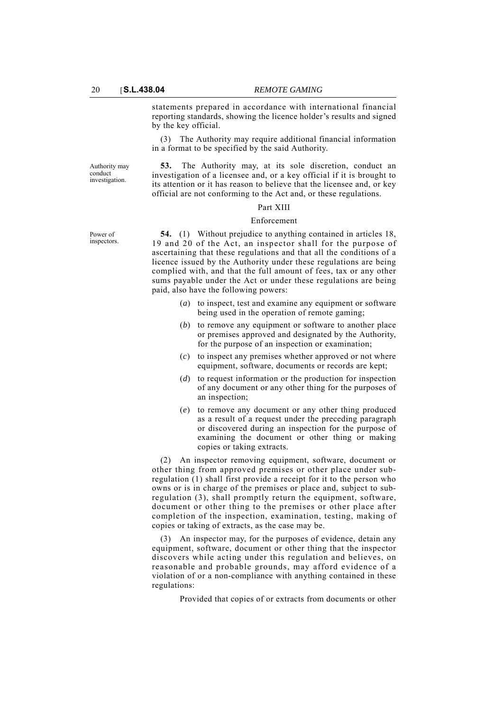statements prepared in accordance with international financial reporting standards, showing the licence holder's results and signed by the key official.

(3) The Authority may require additional financial information in a format to be specified by the said Authority.

Authority may conduct investigation.

Power of inspectors.

**53.** The Authority may, at its sole discretion, conduct an investigation of a licensee and, or a key official if it is brought to its attention or it has reason to believe that the licensee and, or key official are not conforming to the Act and, or these regulations.

# Part XIII

### Enforcement

**54.** (1) Without prejudice to anything contained in articles 18, 19 and 20 of the Act, an inspector shall for the purpose of ascertaining that these regulations and that all the conditions of a licence issued by the Authority under these regulations are being complied with, and that the full amount of fees, tax or any other sums payable under the Act or under these regulations are being paid, also have the following powers:

- (*a*) to inspect, test and examine any equipment or software being used in the operation of remote gaming;
- (*b*) to remove any equipment or software to another place or premises approved and designated by the Authority, for the purpose of an inspection or examination;
- (*c*) to inspect any premises whether approved or not where equipment, software, documents or records are kept;
- (*d*) to request information or the production for inspection of any document or any other thing for the purposes of an inspection;
- (*e*) to remove any document or any other thing produced as a result of a request under the preceding paragraph or discovered during an inspection for the purpose of examining the document or other thing or making copies or taking extracts.

(2) An inspector removing equipment, software, document or other thing from approved premises or other place under subregulation (1) shall first provide a receipt for it to the person who owns or is in charge of the premises or place and, subject to subregulation (3), shall promptly return the equipment, software, document or other thing to the premises or other place after completion of the inspection, examination, testing, making of copies or taking of extracts, as the case may be.

(3) An inspector may, for the purposes of evidence, detain any equipment, software, document or other thing that the inspector discovers while acting under this regulation and believes, on reasonable and probable grounds, may afford evidence of a violation of or a non-compliance with anything contained in these regulations:

Provided that copies of or extracts from documents or other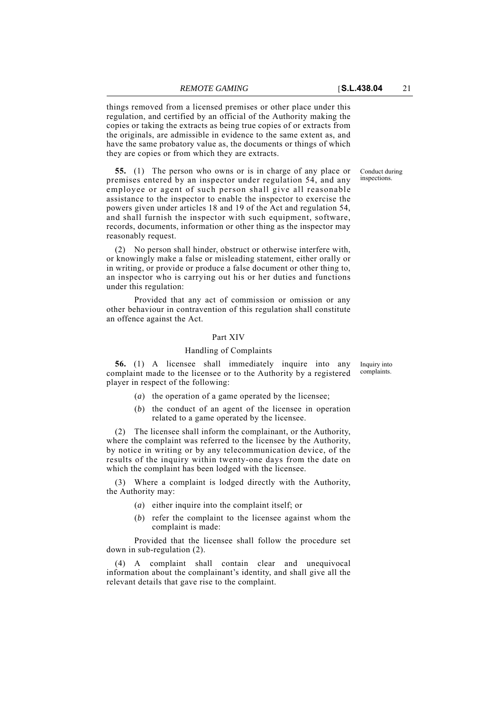things removed from a licensed premises or other place under this regulation, and certified by an official of the Authority making the copies or taking the extracts as being true copies of or extracts from the originals, are admissible in evidence to the same extent as, and have the same probatory value as, the documents or things of which they are copies or from which they are extracts.

**55.** (1) The person who owns or is in charge of any place or premises entered by an inspector under regulation 54, and any employee or agent of such person shall give all reasonable assistance to the inspector to enable the inspector to exercise the powers given under articles 18 and 19 of the Act and regulation 54, and shall furnish the inspector with such equipment, software, records, documents, information or other thing as the inspector may reasonably request.

(2) No person shall hinder, obstruct or otherwise interfere with, or knowingly make a false or misleading statement, either orally or in writing, or provide or produce a false document or other thing to, an inspector who is carrying out his or her duties and functions under this regulation:

Provided that any act of commission or omission or any other behaviour in contravention of this regulation shall constitute an offence against the Act.

### Part XIV

#### Handling of Complaints

**56.** (1) A licensee shall immediately inquire into any complaint made to the licensee or to the Authority by a registered player in respect of the following:

- (*a*) the operation of a game operated by the licensee;
- (*b*) the conduct of an agent of the licensee in operation related to a game operated by the licensee.

(2) The licensee shall inform the complainant, or the Authority, where the complaint was referred to the licensee by the Authority, by notice in writing or by any telecommunication device, of the results of the inquiry within twenty-one days from the date on which the complaint has been lodged with the licensee.

(3) Where a complaint is lodged directly with the Authority, the Authority may:

- (*a*) either inquire into the complaint itself; or
- (*b*) refer the complaint to the licensee against whom the complaint is made:

Provided that the licensee shall follow the procedure set down in sub-regulation (2).

(4) A complaint shall contain clear and unequivocal information about the complainant's identity, and shall give all the relevant details that gave rise to the complaint.

Conduct during inspections.

Inquiry into complaints.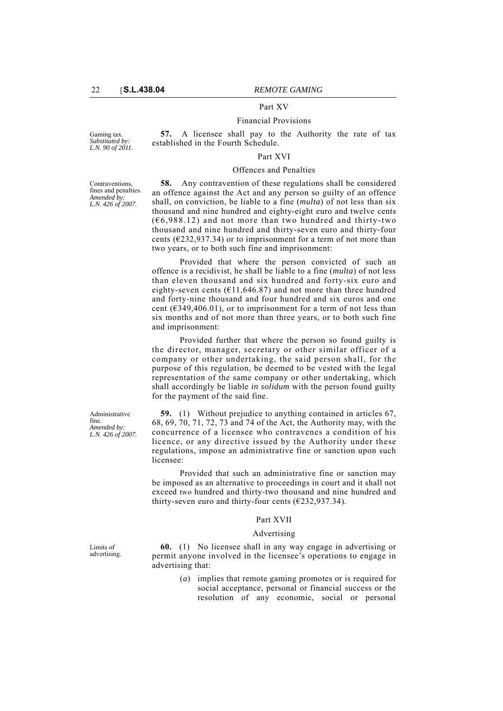# Part XV

#### Financial Provisions

Gaming tax. *Substituted by: L.N. 90 of 2011.*

**57.** A licensee shall pay to the Authority the rate of tax established in the Fourth Schedule.

### Part XVI

### Offences and Penalties

Contraventions, fines and penalties. *Amended by: L.N. 426 of 2007.*

**58.** Any contravention of these regulations shall be considered an offence against the Act and any person so guilty of an offence shall, on conviction, be liable to a fine (*multa*) of not less than six thousand and nine hundred and eighty-eight euro and twelve cents  $(66.988.12)$  and not more than two hundred and thirty-two thousand and nine hundred and thirty-seven euro and thirty-four cents ( $\epsilon$ 232,937.34) or to imprisonment for a term of not more than two years, or to both such fine and imprisonment:

Provided that where the person convicted of such an offence is a recidivist, he shall be liable to a fine (*multa*) of not less than eleven thousand and six hundred and forty-six euro and eighty-seven cents ( $E11,646.87$ ) and not more than three hundred and forty-nine thousand and four hundred and six euros and one cent ( $\epsilon$ 349,406.01), or to imprisonment for a term of not less than six months and of not more than three years, or to both such fine and imprisonment:

Provided further that where the person so found guilty is the director, manager, secretary or other similar officer of a company or other undertaking, the said person shall, for the purpose of this regulation, be deemed to be vested with the legal representation of the same company or other undertaking, which shall accordingly be liable *in solidum* with the person found guilty for the payment of the said fine.

**59.** (1) Without prejudice to anything contained in articles 67, 68, 69, 70, 71, 72, 73 and 74 of the Act, the Authority may, with the concurrence of a licensee who contravenes a condition of his licence, or any directive issued by the Authority under these regulations, impose an administrative fine or sanction upon such licensee:

Provided that such an administrative fine or sanction may be imposed as an alternative to proceedings in court and it shall not exceed two hundred and thirty-two thousand and nine hundred and thirty-seven euro and thirty-four cents  $(E232, 937.34)$ .

### Part XVII

#### Advertising

**60.** (1) No licensee shall in any way engage in advertising or permit anyone involved in the licensee's operations to engage in advertising that:

> (*a*) implies that remote gaming promotes or is required for social acceptance, personal or financial success or the resolution of any economic, social or personal

Administrative fine. *Amended by: L.N. 426 of 2007.*

Limits of advertising.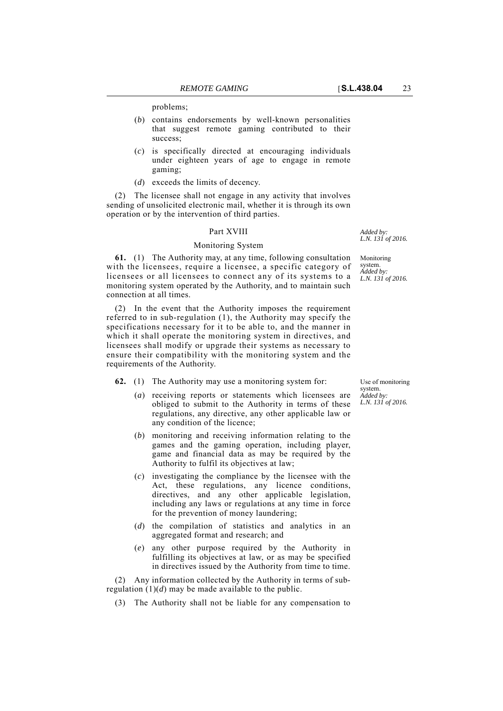- (*b*) contains endorsements by well-known personalities that suggest remote gaming contributed to their success;
- (*c*) is specifically directed at encouraging individuals under eighteen years of age to engage in remote gaming;
- (*d*) exceeds the limits of decency.

(2) The licensee shall not engage in any activity that involves sending of unsolicited electronic mail, whether it is through its own operation or by the intervention of third parties.

#### Part XVIII

#### Monitoring System

**61.** (1) The Authority may, at any time, following consultation with the licensees, require a licensee, a specific category of licensees or all licensees to connect any of its systems to a monitoring system operated by the Authority, and to maintain such connection at all times.

(2) In the event that the Authority imposes the requirement referred to in sub-regulation (1), the Authority may specify the specifications necessary for it to be able to, and the manner in which it shall operate the monitoring system in directives, and licensees shall modify or upgrade their systems as necessary to ensure their compatibility with the monitoring system and the requirements of the Authority.

**62.** (1) The Authority may use a monitoring system for:

- (*a*) receiving reports or statements which licensees are obliged to submit to the Authority in terms of these regulations, any directive, any other applicable law or any condition of the licence;
- (*b*) monitoring and receiving information relating to the games and the gaming operation, including player, game and financial data as may be required by the Authority to fulfil its objectives at law;
- (*c*) investigating the compliance by the licensee with the Act, these regulations, any licence conditions, directives, and any other applicable legislation, including any laws or regulations at any time in force for the prevention of money laundering;
- (*d*) the compilation of statistics and analytics in an aggregated format and research; and
- (*e*) any other purpose required by the Authority in fulfilling its objectives at law, or as may be specified in directives issued by the Authority from time to time.

(2) Any information collected by the Authority in terms of subregulation  $(1)(d)$  may be made available to the public.

(3) The Authority shall not be liable for any compensation to

Use of monitoring system. *Added by: L.N. 131 of 2016.*

*L.N. 131 of 2016.*

Monitoring system. *Added by: L.N. 131 of 2016.*

*Added by:*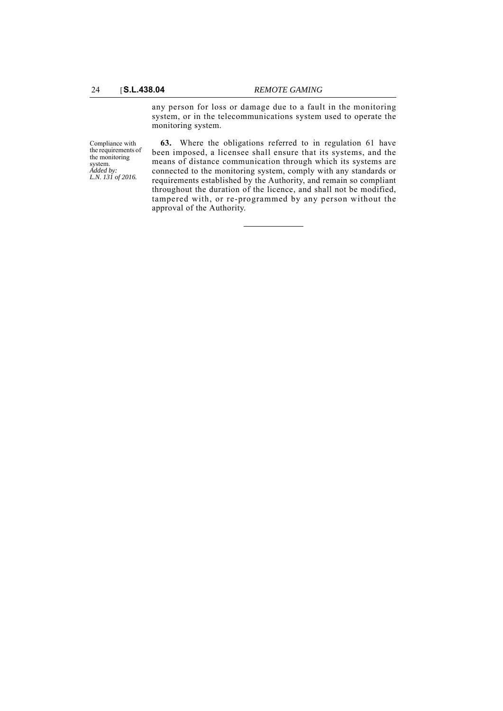any person for loss or damage due to a fault in the monitoring system, or in the telecommunications system used to operate the monitoring system.

Compliance with the requirements of the monitoring system. *Added by: L.N. 131 of 2016.*

**63.** Where the obligations referred to in regulation 61 have been imposed, a licensee shall ensure that its systems, and the means of distance communication through which its systems are connected to the monitoring system, comply with any standards or requirements established by the Authority, and remain so compliant throughout the duration of the licence, and shall not be modified, tampered with, or re-programmed by any person without the approval of the Authority.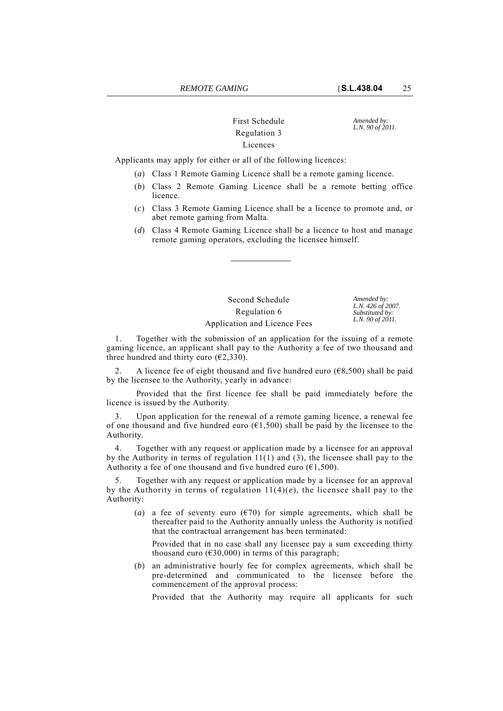# First Schedule *Amended by:*<br>*L.N. 90 of 2011.* **Regulation 3** Licences

Applicants may apply for either or all of the following licences:

- (*a*) Class 1 Remote Gaming Licence shall be a remote gaming licence.
- (*b*) Class 2 Remote Gaming Licence shall be a remote betting office licence.
- (*c*) Class 3 Remote Gaming Licence shall be a licence to promote and, or abet remote gaming from Malta.
- (*d*) Class 4 Remote Gaming Licence shall be a licence to host and manage remote gaming operators, excluding the licensee himself.

Second Schedule *Amended by:* Regulation 6 Application and Licence Fees

*L.N. 426 of 2007. Substituted by: L.N. 90 of 2011.*

1. Together with the submission of an application for the issuing of a remote gaming licence, an applicant shall pay to the Authority a fee of two thousand and three hundred and thirty euro ( $\epsilon$ 2,330).

2. A licence fee of eight thousand and five hundred euro ( $\epsilon$ 8,500) shall be paid by the licensee to the Authority, yearly in advance:

Provided that the first licence fee shall be paid immediately before the licence is issued by the Authority.

Upon application for the renewal of a remote gaming licence, a renewal fee of one thousand and five hundred euro  $(61,500)$  shall be paid by the licensee to the Authority.

4. Together with any request or application made by a licensee for an approval by the Authority in terms of regulation 11(1) and (3), the licensee shall pay to the Authority a fee of one thousand and five hundred euro ( $\epsilon$ 1,500).

5. Together with any request or application made by a licensee for an approval by the Authority in terms of regulation  $11(4)(e)$ , the licensee shall pay to the Authority:

(*a*) a fee of seventy euro ( $\epsilon$ 70) for simple agreements, which shall be thereafter paid to the Authority annually unless the Authority is notified that the contractual arrangement has been terminated:

Provided that in no case shall any licensee pay a sum exceeding thirty thousand euro ( $\epsilon$ 30,000) in terms of this paragraph;

(*b*) an administrative hourly fee for complex agreements, which shall be pre-determined and communicated to the licensee before the commencement of the approval process:

Provided that the Authority may require all applicants for such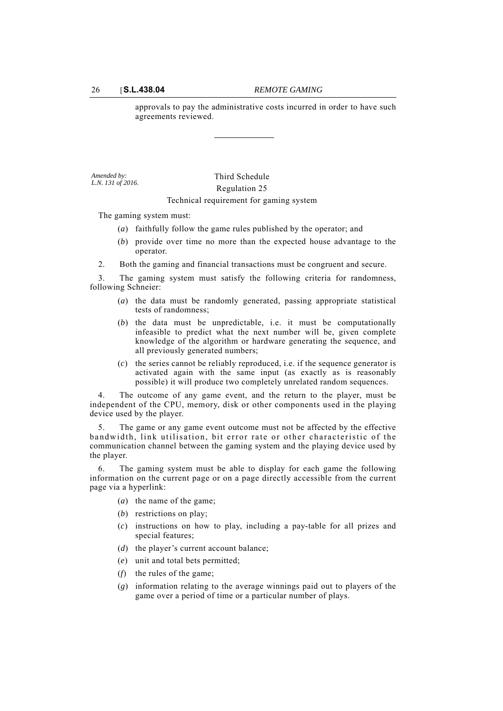approvals to pay the administrative costs incurred in order to have such agreements reviewed.

*Amended by: L.N. 131 of 2016.*

Third Schedule Regulation 25 Technical requirement for gaming system

The gaming system must:

- (*a*) faithfully follow the game rules published by the operator; and
- (*b*) provide over time no more than the expected house advantage to the operator.
- 2. Both the gaming and financial transactions must be congruent and secure.

3. The gaming system must satisfy the following criteria for randomness, following Schneier:

- (*a*) the data must be randomly generated, passing appropriate statistical tests of randomness;
- (*b*) the data must be unpredictable, i.e. it must be computationally infeasible to predict what the next number will be, given complete knowledge of the algorithm or hardware generating the sequence, and all previously generated numbers;
- (*c*) the series cannot be reliably reproduced, i.e. if the sequence generator is activated again with the same input (as exactly as is reasonably possible) it will produce two completely unrelated random sequences.

4. The outcome of any game event, and the return to the player, must be independent of the CPU, memory, disk or other components used in the playing device used by the player.

5. The game or any game event outcome must not be affected by the effective bandwidth, link utilisation, bit error rate or other characteristic of the communication channel between the gaming system and the playing device used by the player.

6. The gaming system must be able to display for each game the following information on the current page or on a page directly accessible from the current page via a hyperlink:

- (*a*) the name of the game;
- (*b*) restrictions on play;
- (*c*) instructions on how to play, including a pay-table for all prizes and special features;
- (*d*) the player's current account balance;
- (*e*) unit and total bets permitted;
- (*f*) the rules of the game;
- (*g*) information relating to the average winnings paid out to players of the game over a period of time or a particular number of plays.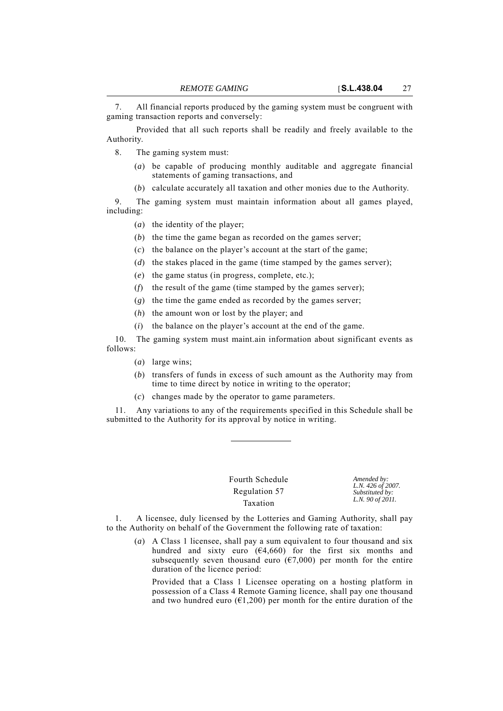7. All financial reports produced by the gaming system must be congruent with gaming transaction reports and conversely:

Provided that all such reports shall be readily and freely available to the Authority.

8. The gaming system must:

- (*a*) be capable of producing monthly auditable and aggregate financial statements of gaming transactions, and
- (*b*) calculate accurately all taxation and other monies due to the Authority.

9. The gaming system must maintain information about all games played, including:

- (*a*) the identity of the player;
- (*b*) the time the game began as recorded on the games server;
- (*c*) the balance on the player's account at the start of the game;
- (*d*) the stakes placed in the game (time stamped by the games server);
- (*e*) the game status (in progress, complete, etc.);
- (*f*) the result of the game (time stamped by the games server);
- (*g*) the time the game ended as recorded by the games server;
- (*h*) the amount won or lost by the player; and
- (*i*) the balance on the player's account at the end of the game.

10. The gaming system must maint.ain information about significant events as follows:

- (*a*) large wins;
- (*b*) transfers of funds in excess of such amount as the Authority may from time to time direct by notice in writing to the operator;
- (*c*) changes made by the operator to game parameters.

11. Any variations to any of the requirements specified in this Schedule shall be submitted to the Authority for its approval by notice in writing.

> Fourth Schedule *Amended by:* Regulation 57 Taxation

*L.N. 426 of 2007. Substituted by: L.N. 90 of 2011.*

1. A licensee, duly licensed by the Lotteries and Gaming Authority, shall pay to the Authority on behalf of the Government the following rate of taxation:

(*a*) A Class 1 licensee, shall pay a sum equivalent to four thousand and six hundred and sixty euro  $(64,660)$  for the first six months and subsequently seven thousand euro ( $\epsilon$ 7,000) per month for the entire duration of the licence period:

Provided that a Class 1 Licensee operating on a hosting platform in possession of a Class 4 Remote Gaming licence, shall pay one thousand and two hundred euro ( $\epsilon$ 1,200) per month for the entire duration of the